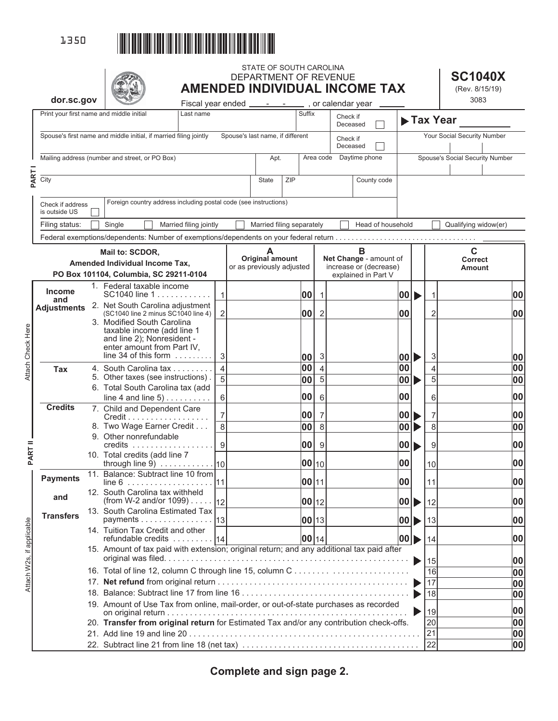

Attach W2s, if applicable

Attach Check Here

|                                                                   |                                                                                                       |                                          |                                                                                         |                                                                                           |                |                                                     | STATE OF SOUTH CAROLINA<br>DEPARTMENT OF REVENUE |                      |              |                         |                             |  |                                                  |       |  |                | <b>SC1040X</b>                  |    |
|-------------------------------------------------------------------|-------------------------------------------------------------------------------------------------------|------------------------------------------|-----------------------------------------------------------------------------------------|-------------------------------------------------------------------------------------------|----------------|-----------------------------------------------------|--------------------------------------------------|----------------------|--------------|-------------------------|-----------------------------|--|--------------------------------------------------|-------|--|----------------|---------------------------------|----|
|                                                                   | dor.sc.gov                                                                                            |                                          |                                                                                         |                                                                                           |                |                                                     |                                                  |                      |              |                         |                             |  | <b>AMENDED INDIVIDUAL INCOME TAX</b>             |       |  |                | (Rev. 8/15/19)<br>3083          |    |
|                                                                   |                                                                                                       |                                          |                                                                                         | Fiscal year ended ________________, or calendar year<br>Last name                         |                |                                                     |                                                  |                      | Suffix       |                         |                             |  |                                                  |       |  |                |                                 |    |
|                                                                   |                                                                                                       | Print your first name and middle initial |                                                                                         |                                                                                           |                |                                                     |                                                  |                      |              | Check if<br>Deceased    |                             |  | Tax Year                                         |       |  |                |                                 |    |
| Spouse's first name and middle initial, if married filing jointly |                                                                                                       |                                          |                                                                                         | Spouse's last name, if different                                                          |                |                                                     |                                                  | Check if<br>Deceased |              |                         | Your Social Security Number |  |                                                  |       |  |                |                                 |    |
| Mailing address (number and street, or PO Box)                    |                                                                                                       |                                          |                                                                                         |                                                                                           |                | Apt.                                                |                                                  |                      |              | Area code Daytime phone |                             |  | Spouse's Social Security Number                  |       |  |                |                                 |    |
| PART                                                              | City                                                                                                  |                                          |                                                                                         |                                                                                           |                |                                                     | <b>State</b>                                     | <b>ZIP</b>           |              |                         |                             |  | County code                                      |       |  |                |                                 |    |
|                                                                   | Foreign country address including postal code (see instructions)<br>Check if address<br>is outside US |                                          |                                                                                         |                                                                                           |                |                                                     |                                                  |                      |              |                         |                             |  |                                                  |       |  |                |                                 |    |
|                                                                   | Filing status:                                                                                        |                                          | Single                                                                                  | Married filing jointly                                                                    |                |                                                     | Married filing separately                        |                      |              |                         |                             |  | Head of household                                |       |  |                | Qualifying widow(er)            |    |
|                                                                   |                                                                                                       |                                          |                                                                                         |                                                                                           |                |                                                     |                                                  |                      |              |                         |                             |  |                                                  |       |  |                |                                 |    |
|                                                                   |                                                                                                       |                                          | Mail to: SCDOR,                                                                         |                                                                                           |                |                                                     | A                                                |                      |              |                         |                             |  | B                                                |       |  |                | $\mathbf c$                     |    |
|                                                                   |                                                                                                       |                                          | Amended Individual Income Tax,                                                          |                                                                                           |                | <b>Original amount</b><br>or as previously adjusted |                                                  |                      |              |                         |                             |  | Net Change - amount of<br>increase or (decrease) |       |  |                | <b>Correct</b><br><b>Amount</b> |    |
|                                                                   |                                                                                                       |                                          | PO Box 101104, Columbia, SC 29211-0104                                                  |                                                                                           |                |                                                     |                                                  |                      |              |                         |                             |  | explained in Part V                              |       |  |                |                                 |    |
|                                                                   | <b>Income</b>                                                                                         |                                          | 1. Federal taxable income<br>SC1040 line 1                                              |                                                                                           | $\mathbf{1}$   |                                                     |                                                  |                      | 00           | $\mathbf{1}$            |                             |  |                                                  | 00  ▶ |  |                |                                 | 00 |
|                                                                   | and<br><b>Adjustments</b>                                                                             |                                          | 2. Net South Carolina adjustment                                                        |                                                                                           |                |                                                     |                                                  |                      |              |                         |                             |  |                                                  |       |  |                |                                 |    |
|                                                                   |                                                                                                       |                                          | (SC1040 line 2 minus SC1040 line 4)<br>3. Modified South Carolina                       |                                                                                           | $\overline{2}$ |                                                     |                                                  |                      | 00           | $\overline{2}$          |                             |  |                                                  | 00    |  | 2              |                                 | 00 |
|                                                                   |                                                                                                       |                                          | taxable income (add line 1                                                              |                                                                                           |                |                                                     |                                                  |                      |              |                         |                             |  |                                                  |       |  |                |                                 |    |
|                                                                   |                                                                                                       |                                          | and line 2); Nonresident -<br>enter amount from Part IV,                                |                                                                                           |                |                                                     |                                                  |                      |              |                         |                             |  |                                                  |       |  |                |                                 |    |
|                                                                   |                                                                                                       |                                          | line 34 of this form $\dots$                                                            |                                                                                           | $\mathbf{3}$   |                                                     |                                                  |                      | 00           | 3                       |                             |  |                                                  | 00  ▶ |  | 3              |                                 | 00 |
| Attach Check Here                                                 | <b>Tax</b>                                                                                            |                                          | 4. South Carolina tax                                                                   |                                                                                           | $\overline{4}$ |                                                     |                                                  |                      | 00           | $\overline{4}$          |                             |  |                                                  | 00    |  | 4              |                                 | 00 |
|                                                                   |                                                                                                       |                                          | 5. Other taxes (see instructions).<br>6. Total South Carolina tax (add                  |                                                                                           | $\overline{5}$ |                                                     |                                                  |                      | 00           | 5                       |                             |  |                                                  | 00    |  | $\overline{5}$ |                                 | 00 |
|                                                                   |                                                                                                       |                                          | line 4 and line $5)$                                                                    |                                                                                           | 6              |                                                     |                                                  |                      | 00           | 6                       |                             |  |                                                  | 00    |  | 6              |                                 | 00 |
|                                                                   | <b>Credits</b>                                                                                        |                                          | 7. Child and Dependent Care                                                             |                                                                                           | 7              |                                                     |                                                  |                      | 00           | 7                       |                             |  |                                                  | 00    |  | 7              |                                 | 00 |
|                                                                   |                                                                                                       |                                          | Credit<br>8. Two Wage Earner Credit                                                     |                                                                                           | $\overline{8}$ |                                                     |                                                  |                      | 00           | 8                       |                             |  |                                                  | 00    |  | $\overline{8}$ |                                 | 00 |
|                                                                   |                                                                                                       |                                          | 9. Other nonrefundable                                                                  |                                                                                           |                |                                                     |                                                  |                      |              |                         |                             |  |                                                  |       |  |                |                                 |    |
| <b>PART II</b>                                                    |                                                                                                       |                                          |                                                                                         |                                                                                           | $\overline{9}$ |                                                     |                                                  |                      | 00           | 9                       |                             |  |                                                  | 00    |  | 9              |                                 | 00 |
|                                                                   |                                                                                                       |                                          | 10. Total credits (add line 7                                                           |                                                                                           |                |                                                     |                                                  |                      | 00 10        |                         |                             |  |                                                  | 00    |  | 10             |                                 | 00 |
|                                                                   | <b>Payments</b>                                                                                       |                                          | 11. Balance: Subtract line 10 from<br>$line 6$                                          |                                                                                           | 111            |                                                     |                                                  |                      | 00 11        |                         |                             |  |                                                  | 00    |  | 11             |                                 | 00 |
|                                                                   | and                                                                                                   |                                          | 12. South Carolina tax withheld<br>(from W-2 and/or 1099) 12                            |                                                                                           |                |                                                     |                                                  |                      | $ 00 _{12} $ |                         |                             |  |                                                  | 00    |  | l 12           |                                 | 00 |
|                                                                   | <b>Transfers</b>                                                                                      |                                          | 13. South Carolina Estimated Tax<br>payments 13                                         |                                                                                           |                |                                                     |                                                  |                      | 00 13        |                         |                             |  |                                                  | 00    |  | 13             |                                 | 00 |
|                                                                   |                                                                                                       |                                          | 14. Tuition Tax Credit and other                                                        |                                                                                           |                |                                                     |                                                  |                      |              |                         |                             |  |                                                  |       |  |                |                                 |    |
| Attach W2s, if applicable                                         |                                                                                                       |                                          | refundable credits 14                                                                   |                                                                                           |                |                                                     |                                                  |                      | $ 00 _{14} $ |                         |                             |  |                                                  | 00  D |  | 14             |                                 | 00 |
|                                                                   |                                                                                                       |                                          |                                                                                         | 15. Amount of tax paid with extension; original return; and any additional tax paid after |                |                                                     |                                                  |                      |              |                         |                             |  |                                                  |       |  |                |                                 |    |
|                                                                   |                                                                                                       |                                          |                                                                                         |                                                                                           |                |                                                     |                                                  |                      |              |                         | 15<br>16                    |  | 00<br>00                                         |       |  |                |                                 |    |
|                                                                   |                                                                                                       |                                          |                                                                                         |                                                                                           |                |                                                     |                                                  |                      |              |                         | 17                          |  | 00                                               |       |  |                |                                 |    |
|                                                                   |                                                                                                       |                                          |                                                                                         |                                                                                           |                |                                                     |                                                  |                      |              |                         |                             |  |                                                  |       |  | 18             |                                 | 00 |
|                                                                   |                                                                                                       |                                          | 19. Amount of Use Tax from online, mail-order, or out-of-state purchases as recorded    |                                                                                           |                |                                                     |                                                  |                      |              |                         |                             |  |                                                  |       |  | 19             |                                 | 00 |
|                                                                   |                                                                                                       |                                          | 20. Transfer from original return for Estimated Tax and/or any contribution check-offs. |                                                                                           |                |                                                     |                                                  |                      |              |                         |                             |  |                                                  |       |  | 20             |                                 | 00 |
|                                                                   |                                                                                                       |                                          |                                                                                         |                                                                                           |                |                                                     |                                                  |                      |              |                         |                             |  |                                                  |       |  | 21             |                                 | 00 |
|                                                                   |                                                                                                       |                                          |                                                                                         |                                                                                           |                |                                                     |                                                  |                      |              |                         |                             |  |                                                  |       |  | 22             |                                 | 00 |

**Complete and sign page 2.**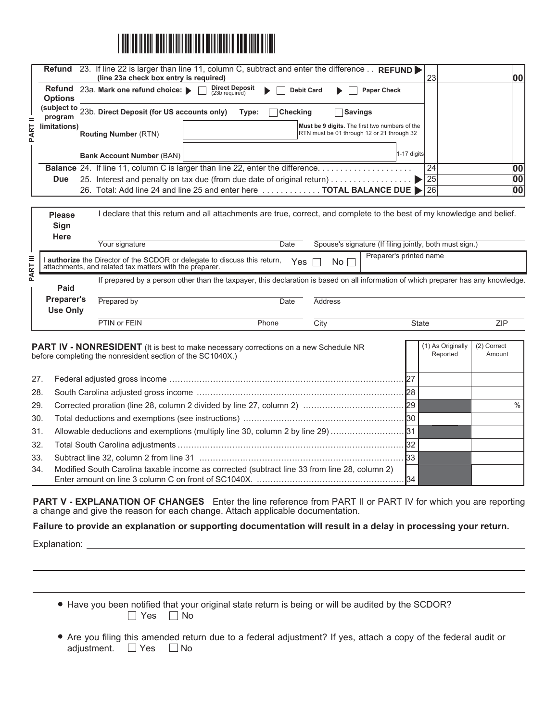

|                        | <b>Refund</b> 23. If line 22 is larger than line 11, column C, subtract and enter the difference<br>REFUND <sup>&gt;</sup><br>(line 23a check box entry is required) | 23 | 100 |
|------------------------|----------------------------------------------------------------------------------------------------------------------------------------------------------------------|----|-----|
| <b>Options</b>         | <b>Direct Deposit</b><br>(23b required)<br>Refund 23a. Mark one refund choice:<br><b>Debit Card</b><br><b>Paper Check</b>                                            |    |     |
| (subject to<br>program | $^{\prime}$ 23b. Direct Deposit (for US accounts only)<br><b>Checking</b><br>Savings<br>Type:                                                                        |    |     |
| limitations)           | Must be 9 digits. The first two numbers of the<br>RTN must be 01 through 12 or 21 through 32<br><b>Routing Number (RTN)</b>                                          |    |     |
|                        | $1-17$ digits<br><b>Bank Account Number (BAN)</b>                                                                                                                    |    |     |
|                        | <b>Balance</b> 24. If line 11, column C is larger than line 22, enter the difference                                                                                 | 24 | 00  |
| <b>Due</b>             |                                                                                                                                                                      | 25 | 00  |
|                        | 26. Total: Add line 24 and line 25 and enter here  TOTAL BALANCE DUE > [26]                                                                                          |    | 00  |

| <b>Please</b>                        |                                                                                                                                                                                     | declare that this return and all attachments are true, correct, and complete to the best of my knowledge and belief.               |                |                                                         |            |  |  |  |  |  |  |
|--------------------------------------|-------------------------------------------------------------------------------------------------------------------------------------------------------------------------------------|------------------------------------------------------------------------------------------------------------------------------------|----------------|---------------------------------------------------------|------------|--|--|--|--|--|--|
| Sign<br><b>Here</b>                  | Your signature                                                                                                                                                                      | Date                                                                                                                               |                | Spouse's signature (If filing jointly, both must sign.) |            |  |  |  |  |  |  |
| Ξ<br>RT                              | Preparer's printed name<br><b>authorize</b> the Director of the SCDOR or delegate to discuss this return,<br>Yes<br>No l<br>attachments, and related tax matters with the preparer. |                                                                                                                                    |                |                                                         |            |  |  |  |  |  |  |
| ₹<br>Paid                            |                                                                                                                                                                                     | If prepared by a person other than the taxpayer, this declaration is based on all information of which preparer has any knowledge. |                |                                                         |            |  |  |  |  |  |  |
| <b>Preparer's</b><br><b>Use Only</b> | Prepared by                                                                                                                                                                         | Date                                                                                                                               | <b>Address</b> |                                                         |            |  |  |  |  |  |  |
|                                      | PTIN or FEIN                                                                                                                                                                        | Phone                                                                                                                              | City           | <b>State</b>                                            | <b>ZIP</b> |  |  |  |  |  |  |
|                                      |                                                                                                                                                                                     |                                                                                                                                    |                |                                                         |            |  |  |  |  |  |  |

|     | <b>PART IV - NONRESIDENT</b> (It is best to make necessary corrections on a new Schedule NR<br>before completing the nonresident section of the SC1040X.) | (1) As Originally<br>Reported | (2) Correct<br>Amount |  |
|-----|-----------------------------------------------------------------------------------------------------------------------------------------------------------|-------------------------------|-----------------------|--|
| 27. |                                                                                                                                                           |                               |                       |  |
| 28. |                                                                                                                                                           |                               |                       |  |
| 29. |                                                                                                                                                           |                               |                       |  |
| 30. |                                                                                                                                                           |                               |                       |  |
| 31. | [31] Allowable deductions and exemptions (multiply line 30, column 2 by line 29)                                                                          |                               |                       |  |
| 32. |                                                                                                                                                           |                               |                       |  |
| 33. |                                                                                                                                                           |                               |                       |  |
| 34. | Modified South Carolina taxable income as corrected (subtract line 33 from line 28, column 2)                                                             |                               |                       |  |

**PART V - EXPLANATION OF CHANGES** Enter the line reference from PART II or PART IV for which you are reporting a change and give the reason for each change. Attach applicable documentation.

**Failure to provide an explanation or supporting documentation will result in a delay in processing your return.**

Explanation:

- Have you been notified that your original state return is being or will be audited by the SCDOR?  $\Box$  Yes  $\Box$  No
- Are you filing this amended return due to a federal adjustment? If yes, attach a copy of the federal audit or adjustment. □ Yes □ No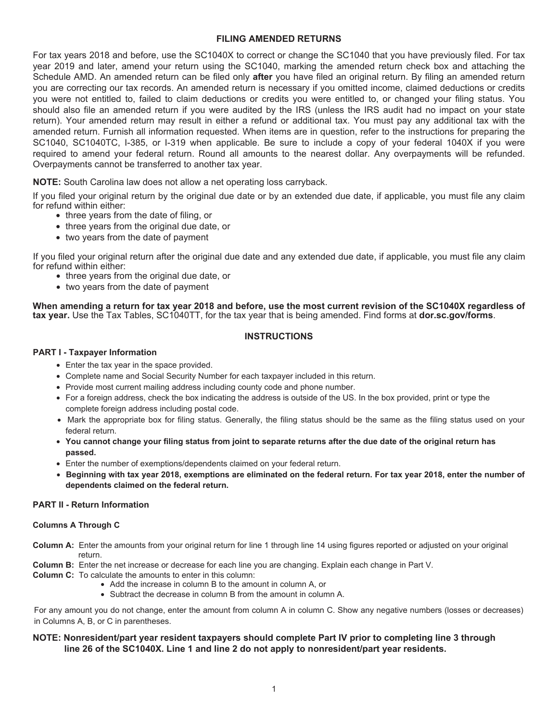## **FILING AMENDED RETURNS**

For tax years 2018 and before, use the SC1040X to correct or change the SC1040 that you have previously filed. For tax year 2019 and later, amend your return using the SC1040, marking the amended return check box and attaching the Schedule AMD. An amended return can be filed only **after** you have filed an original return. By filing an amended return you are correcting our tax records. An amended return is necessary if you omitted income, claimed deductions or credits you were not entitled to, failed to claim deductions or credits you were entitled to, or changed your filing status. You should also file an amended return if you were audited by the IRS (unless the IRS audit had no impact on your state return). Your amended return may result in either a refund or additional tax. You must pay any additional tax with the amended return. Furnish all information requested. When items are in question, refer to the instructions for preparing the SC1040, SC1040TC, I-385, or I-319 when applicable. Be sure to include a copy of your federal 1040X if you were required to amend your federal return. Round all amounts to the nearest dollar. Any overpayments will be refunded. Overpayments cannot be transferred to another tax year.

**NOTE:** South Carolina law does not allow a net operating loss carryback.

If you filed your original return by the original due date or by an extended due date, if applicable, you must file any claim for refund within either:

- three years from the date of filing, or
- three years from the original due date, or
- two years from the date of payment

If you filed your original return after the original due date and any extended due date, if applicable, you must file any claim for refund within either:

- three years from the original due date, or
- two years from the date of payment

**When amending a return for tax year 2018 and before, use the most current revision of the SC1040X regardless of tax year.** Use the Tax Tables, SC1040TT, for the tax year that is being amended. Find forms at **dor.sc.gov/forms**.

## **INSTRUCTIONS**

## **PART I - Taxpayer Information**

- Enter the tax year in the space provided.
- Complete name and Social Security Number for each taxpayer included in this return.
- Provide most current mailing address including county code and phone number.
- For a foreign address, check the box indicating the address is outside of the US. In the box provided, print or type the complete foreign address including postal code.
- Mark the appropriate box for filing status. Generally, the filing status should be the same as the filing status used on your federal return.
- **You cannot change your filing status from joint to separate returns after the due date of the original return has passed.**
- Enter the number of exemptions/dependents claimed on your federal return.
- **Beginning with tax year 2018, exemptions are eliminated on the federal return. For tax year 2018, enter the number of dependents claimed on the federal return.**

## **PART II - Return Information**

#### **Columns A Through C**

**Column A:** Enter the amounts from your original return for line 1 through line 14 using figures reported or adjusted on your original return.

- **Column B:** Enter the net increase or decrease for each line you are changing. Explain each change in Part V.
- **Column C:** To calculate the amounts to enter in this column:
	- Add the increase in column B to the amount in column A, or
	- Subtract the decrease in column B from the amount in column A.

For any amount you do not change, enter the amount from column A in column C. Show any negative numbers (losses or decreases) in Columns A, B, or C in parentheses.

## **NOTE: Nonresident/part year resident taxpayers should complete Part IV prior to completing line 3 through line 26 of the SC1040X. Line 1 and line 2 do not apply to nonresident/part year residents.**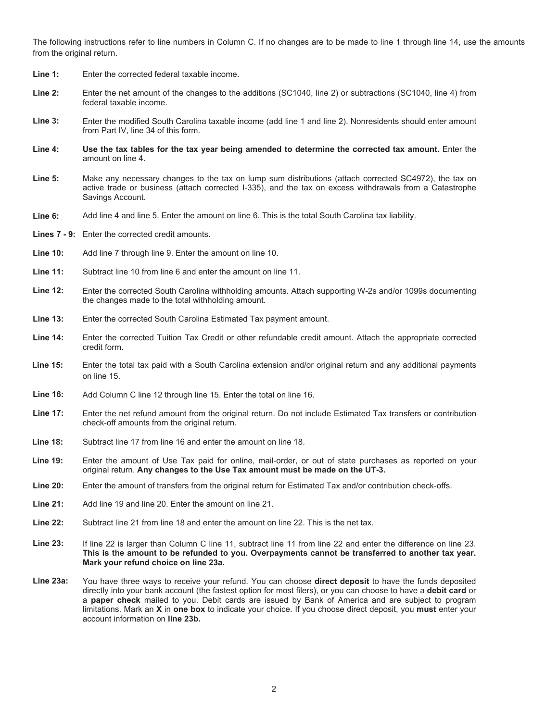The following instructions refer to line numbers in Column C. If no changes are to be made to line 1 through line 14, use the amounts from the original return.

- **Line 1:**  Enter the corrected federal taxable income.
- **Line 2:**  Enter the net amount of the changes to the additions (SC1040, line 2) or subtractions (SC1040, line 4) from federal taxable income.
- **Line 3:**  Enter the modified South Carolina taxable income (add line 1 and line 2). Nonresidents should enter amount from Part IV, line 34 of this form.
- **Line 4: Use the tax tables for the tax year being amended to determine the corrected tax amount.** Enter the amount on line 4.
- Make any necessary changes to the tax on lump sum distributions (attach corrected SC4972), the tax on active trade or business (attach corrected I-335), and the tax on excess withdrawals from a Catastrophe Savings Account. **Line 5:**
- Add line 4 and line 5. Enter the amount on line 6. This is the total South Carolina tax liability. **Line 6:**
- Lines 7 9: Enter the corrected credit amounts.
- Add line 7 through line 9. Enter the amount on line 10. **Line 10:**
- Subtract line 10 from line 6 and enter the amount on line 11. **Line 11:**
- **Line 12:**  Enter the corrected South Carolina withholding amounts. Attach supporting W-2s and/or 1099s documenting the changes made to the total withholding amount.
- **Line 13:**  Enter the corrected South Carolina Estimated Tax payment amount.
- **Line 14:**  Enter the corrected Tuition Tax Credit or other refundable credit amount. Attach the appropriate corrected credit form.
- **Line 15:** Enter the total tax paid with a South Carolina extension and/or original return and any additional payments on line 15.
- **Line 16:**  Add Column C line 12 through line 15. Enter the total on line 16.
- **Line 17:**  Enter the net refund amount from the original return. Do not include Estimated Tax transfers or contribution check-off amounts from the original return.
- **Line 18:**  Subtract line 17 from line 16 and enter the amount on line 18.
- **Line 19:**  Enter the amount of Use Tax paid for online, mail-order, or out of state purchases as reported on your original return. **Any changes to the Use Tax amount must be made on the UT-3.**
- **Line 20:**  Enter the amount of transfers from the original return for Estimated Tax and/or contribution check-offs.
- **Line 21:**  Add line 19 and line 20. Enter the amount on line 21.
- **Line 22:**  Subtract line 21 from line 18 and enter the amount on line 22. This is the net tax.
- **Line 23:**  If line 22 is larger than Column C line 11, subtract line 11 from line 22 and enter the difference on line 23. **This is the amount to be refunded to you. Overpayments cannot be transferred to another tax year. Mark your refund choice on line 23a.**
- **Line 23a:**  You have three ways to receive your refund. You can choose **direct deposit** to have the funds deposited directly into your bank account (the fastest option for most filers), or you can choose to have a **debit card** or a **paper check** mailed to you. Debit cards are issued by Bank of America and are subject to program limitations. Mark an **X** in **one box** to indicate your choice. If you choose direct deposit, you **must** enter your account information on **line 23b.**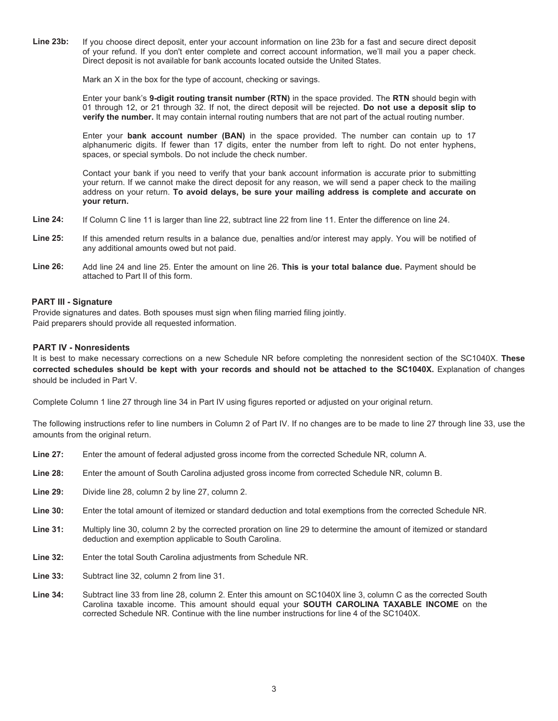**Line 23b:**  If you choose direct deposit, enter your account information on line 23b for a fast and secure direct deposit of your refund. If you don't enter complete and correct account information, we'll mail you a paper check. Direct deposit is not available for bank accounts located outside the United States.

Mark an X in the box for the type of account, checking or savings.

Enter your bank's **9-digit routing transit number (RTN)** in the space provided. The **RTN** should begin with 01 through 12, or 21 through 32. If not, the direct deposit will be rejected. **Do not use a deposit slip to verify the number.** It may contain internal routing numbers that are not part of the actual routing number.

Enter your **bank account number (BAN)** in the space provided. The number can contain up to 17 alphanumeric digits. If fewer than 17 digits, enter the number from left to right. Do not enter hyphens, spaces, or special symbols. Do not include the check number.

Contact your bank if you need to verify that your bank account information is accurate prior to submitting your return. If we cannot make the direct deposit for any reason, we will send a paper check to the mailing address on your return. **To avoid delays, be sure your mailing address is complete and accurate on your return.** 

- **Line 24:**  If Column C line 11 is larger than line 22, subtract line 22 from line 11. Enter the difference on line 24.
- **Line 25:**  If this amended return results in a balance due, penalties and/or interest may apply. You will be notified of any additional amounts owed but not paid.
- **Line 26:**  Add line 24 and line 25. Enter the amount on line 26. **This is your total balance due.** Payment should be attached to Part II of this form.

### **PART III - Signature**

Provide signatures and dates. Both spouses must sign when filing married filing jointly. Paid preparers should provide all requested information.

#### **PART IV - Nonresidents**

It is best to make necessary corrections on a new Schedule NR before completing the nonresident section of the SC1040X. **These corrected schedules should be kept with your records and should not be attached to the SC1040X.** Explanation of changes should be included in Part V.

Complete Column 1 line 27 through line 34 in Part IV using figures reported or adjusted on your original return.

The following instructions refer to line numbers in Column 2 of Part IV. If no changes are to be made to line 27 through line 33, use the amounts from the original return.

- Enter the amount of federal adjusted gross income from the corrected Schedule NR, column A. **Line 27:**
- Enter the amount of South Carolina adjusted gross income from corrected Schedule NR, column B. **Line 28:**
- Divide line 28, column 2 by line 27, column 2. **Line 29:**
- Enter the total amount of itemized or standard deduction and total exemptions from the corrected Schedule NR. **Line 30:**
- Multiply line 30, column 2 by the corrected proration on line 29 to determine the amount of itemized or standard deduction and exemption applicable to South Carolina. **Line 31:**
- Enter the total South Carolina adjustments from Schedule NR. **Line 32:**
- Subtract line 32, column 2 from line 31. **Line 33:**
- Subtract line 33 from line 28, column 2. Enter this amount on SC1040X line 3, column C as the corrected South Carolina taxable income. This amount should equal your **SOUTH CAROLINA TAXABLE INCOME** on the corrected Schedule NR. Continue with the line number instructions for line 4 of the SC1040X. **Line 34:**